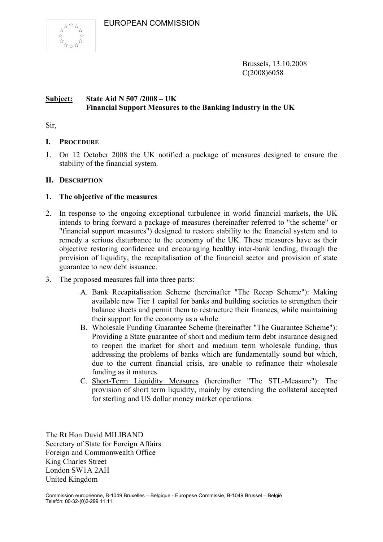

Brussels, 13.10.2008 C(2008)6058

#### **Subject: State Aid N 507 /2008 – UK Financial Support Measures to the Banking Industry in the UK**

Sir,

## **I. PROCEDURE**

1. On 12 October 2008 the UK notified a package of measures designed to ensure the stability of the financial system.

#### **II. DESCRIPTION**

## **1. The objective of the measures**

- 2. In response to the ongoing exceptional turbulence in world financial markets, the UK intends to bring forward a package of measures (hereinafter referred to "the scheme" or "financial support measures") designed to restore stability to the financial system and to remedy a serious disturbance to the economy of the UK. These measures have as their objective restoring confidence and encouraging healthy inter-bank lending, through the provision of liquidity, the recapitalisation of the financial sector and provision of state guarantee to new debt issuance.
- 3. The proposed measures fall into three parts:
	- A. Bank Recapitalisation Scheme (hereinafter "The Recap Scheme"): Making available new Tier 1 capital for banks and building societies to strengthen their balance sheets and permit them to restructure their finances, while maintaining their support for the economy as a whole.
	- B. Wholesale Funding Guarantee Scheme (hereinafter "The Guarantee Scheme"): Providing a State guarantee of short and medium term debt insurance designed to reopen the market for short and medium term wholesale funding, thus addressing the problems of banks which are fundamentally sound but which, due to the current financial crisis, are unable to refinance their wholesale funding as it matures.
	- C. Short-Term Liquidity Measures (hereinafter "The STL-Measure"): The provision of short term liquidity, mainly by extending the collateral accepted for sterling and US dollar money market operations.

The Rt Hon David MILIBAND Secretary of State for Foreign Affairs Foreign and Commonwealth Office King Charles Street London SW1A 2AH United Kingdom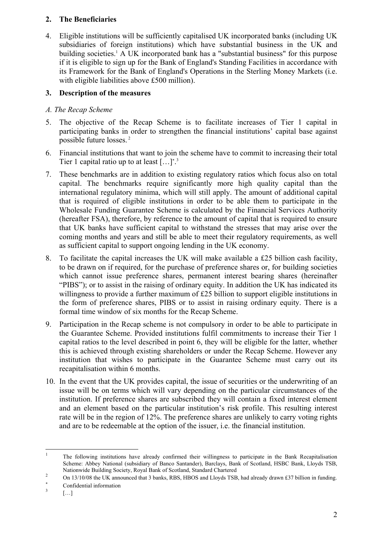## **2. The Beneficiaries**

4. Eligible institutions will be sufficiently capitalised UK incorporated banks (including UK subsidiaries of foreign institutions) which have substantial business in the UK and building societies.<sup>1</sup> A UK incorporated bank has a "substantial business" for this purpose if it is eligible to sign up for the Bank of England's Standing Facilities in accordance with its Framework for the Bank of England's Operations in the Sterling Money Markets (i.e. with eligible liabilities above £500 million).

# **3. Description of the measures**

## *A. The Recap Scheme*

- 5. The objective of the Recap Scheme is to facilitate increases of Tier 1 capital in participating banks in order to strengthen the financial institutions' capital base against possible future losses. 2
- 6. Financial institutions that want to join the scheme have to commit to increasing their total Tier 1 capital ratio up to at least  $[\dots]^*$ <sup>3</sup>
- 7. These benchmarks are in addition to existing regulatory ratios which focus also on total capital. The benchmarks require significantly more high quality capital than the international regulatory minima, which will still apply. The amount of additional capital that is required of eligible institutions in order to be able them to participate in the Wholesale Funding Guarantee Scheme is calculated by the Financial Services Authority (hereafter FSA), therefore, by reference to the amount of capital that is required to ensure that UK banks have sufficient capital to withstand the stresses that may arise over the coming months and years and still be able to meet their regulatory requirements, as well as sufficient capital to support ongoing lending in the UK economy.
- 8. To facilitate the capital increases the UK will make available a £25 billion cash facility, to be drawn on if required, for the purchase of preference shares or, for building societies which cannot issue preference shares, permanent interest bearing shares (hereinafter "PIBS"); or to assist in the raising of ordinary equity. In addition the UK has indicated its willingness to provide a further maximum of £25 billion to support eligible institutions in the form of preference shares, PIBS or to assist in raising ordinary equity. There is a formal time window of six months for the Recap Scheme.
- 9. Participation in the Recap scheme is not compulsory in order to be able to participate in the Guarantee Scheme. Provided institutions fulfil commitments to increase their Tier 1 capital ratios to the level described in point 6, they will be eligible for the latter, whether this is achieved through existing shareholders or under the Recap Scheme. However any institution that wishes to participate in the Guarantee Scheme must carry out its recapitalisation within 6 months.
- 10. In the event that the UK provides capital, the issue of securities or the underwriting of an issue will be on terms which will vary depending on the particular circumstances of the institution. If preference shares are subscribed they will contain a fixed interest element and an element based on the particular institution's risk profile. This resulting interest rate will be in the region of 12%. The preference shares are unlikely to carry voting rights and are to be redeemable at the option of the issuer, i.e. the financial institution.

 $\frac{1}{1}$  The following institutions have already confirmed their willingness to participate in the Bank Recapitalisation Scheme: Abbey National (subsidiary of Banco Santander), Barclays, Bank of Scotland, HSBC Bank, Lloyds TSB, Nationwide Building Society, Royal Bank of Scotland, Standard Chartered<br>2 0n 12/10/09 the LIV announced that 2 hanks PBS, HPOS and Lloyds TSD

On 13/10/08 the UK announced that 3 banks, RBS, HBOS and Lloyds TSB, had already drawn £37 billion in funding.

<sup>∗</sup> Confidential information 3

 <sup>[…]</sup>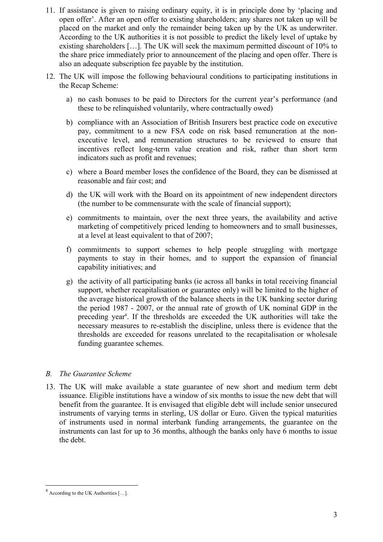- 11. If assistance is given to raising ordinary equity, it is in principle done by 'placing and open offer'. After an open offer to existing shareholders; any shares not taken up will be placed on the market and only the remainder being taken up by the UK as underwriter. According to the UK authorities it is not possible to predict the likely level of uptake by existing shareholders […]. The UK will seek the maximum permitted discount of 10% to the share price immediately prior to announcement of the placing and open offer. There is also an adequate subscription fee payable by the institution.
- 12. The UK will impose the following behavioural conditions to participating institutions in the Recap Scheme:
	- a) no cash bonuses to be paid to Directors for the current year's performance (and these to be relinquished voluntarily, where contractually owed)
	- b) compliance with an Association of British Insurers best practice code on executive pay, commitment to a new FSA code on risk based remuneration at the nonexecutive level, and remuneration structures to be reviewed to ensure that incentives reflect long-term value creation and risk, rather than short term indicators such as profit and revenues;
	- c) where a Board member loses the confidence of the Board, they can be dismissed at reasonable and fair cost; and
	- d) the UK will work with the Board on its appointment of new independent directors (the number to be commensurate with the scale of financial support);
	- e) commitments to maintain, over the next three years, the availability and active marketing of competitively priced lending to homeowners and to small businesses, at a level at least equivalent to that of 2007;
	- f) commitments to support schemes to help people struggling with mortgage payments to stay in their homes, and to support the expansion of financial capability initiatives; and
	- g) the activity of all participating banks (ie across all banks in total receiving financial support, whether recapitalisation or guarantee only) will be limited to the higher of the average historical growth of the balance sheets in the UK banking sector during the period 1987 - 2007, or the annual rate of growth of UK nominal GDP in the preceding year<sup>4</sup>. If the thresholds are exceeded the UK authorities will take the necessary measures to re-establish the discipline, unless there is evidence that the thresholds are exceeded for reasons unrelated to the recapitalisation or wholesale funding guarantee schemes.

#### *B. The Guarantee Scheme*

13. The UK will make available a state guarantee of new short and medium term debt issuance. Eligible institutions have a window of six months to issue the new debt that will benefit from the guarantee. It is envisaged that eligible debt will include senior unsecured instruments of varying terms in sterling, US dollar or Euro. Given the typical maturities of instruments used in normal interbank funding arrangements, the guarantee on the instruments can last for up to 36 months, although the banks only have 6 months to issue the debt.

1

<sup>4</sup> According to the UK Authorities […].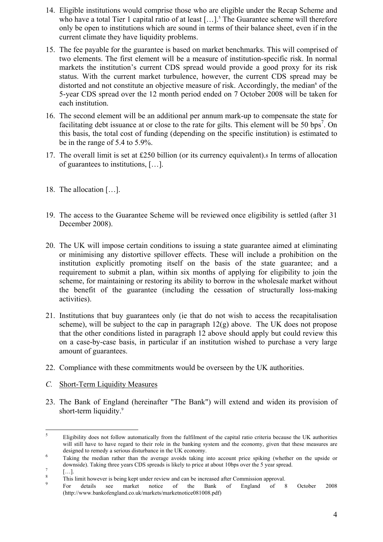- 14. Eligible institutions would comprise those who are eligible under the Recap Scheme and who have a total Tier 1 capital ratio of at least  $[...]$ <sup>5</sup> The Guarantee scheme will therefore only be open to institutions which are sound in terms of their balance sheet, even if in the current climate they have liquidity problems.
- 15. The fee payable for the guarantee is based on market benchmarks. This will comprised of two elements. The first element will be a measure of institution-specific risk. In normal markets the institution's current CDS spread would provide a good proxy for its risk status. With the current market turbulence, however, the current CDS spread may be distorted and not constitute an objective measure of risk. Accordingly, the median<sup>6</sup> of the 5-year CDS spread over the 12 month period ended on 7 October 2008 will be taken for each institution.
- 16. The second element will be an additional per annum mark-up to compensate the state for facilitating debt issuance at or close to the rate for gilts. This element will be 50 bps<sup>7</sup>. On this basis, the total cost of funding (depending on the specific institution) is estimated to be in the range of 5.4 to 5.9%.
- 17. The overall limit is set at £250 billion (or its currency equivalent).8 In terms of allocation of guarantees to institutions, […].
- 18. The allocation […].
- 19. The access to the Guarantee Scheme will be reviewed once eligibility is settled (after 31 December 2008).
- 20. The UK will impose certain conditions to issuing a state guarantee aimed at eliminating or minimising any distortive spillover effects. These will include a prohibition on the institution explicitly promoting itself on the basis of the state guarantee; and a requirement to submit a plan, within six months of applying for eligibility to join the scheme, for maintaining or restoring its ability to borrow in the wholesale market without the benefit of the guarantee (including the cessation of structurally loss-making activities).
- 21. Institutions that buy guarantees only (ie that do not wish to access the recapitalisation scheme), will be subject to the cap in paragraph  $12(g)$  above. The UK does not propose that the other conditions listed in paragraph 12 above should apply but could review this on a case-by-case basis, in particular if an institution wished to purchase a very large amount of guarantees.
- 22. Compliance with these commitments would be overseen by the UK authorities.
- *C.* Short-Term Liquidity Measures
- 23. The Bank of England (hereinafter "The Bank") will extend and widen its provision of short-term liquidity.<sup>9</sup>

 $\frac{1}{5}$  Eligibility does not follow automatically from the fulfilment of the capital ratio criteria because the UK authorities will still have to have regard to their role in the banking system and the economy, given that these measures are designed to remedy a serious disturbance in the UK economy.

Taking the median rather than the average avoids taking into account price spiking (whether on the upside or downside). Taking three years CDS spreads is likely to price at about 10bps over the 5 year spread.

 <sup>[…].</sup> 

<sup>8</sup> This limit however is being kept under review and can be increased after Commission approval.<br>
<sup>9</sup> Por details see market notice of the Bank of England of 8

For details see market notice of the Bank of England of 8 October 2008 (http://www.bankofengland.co.uk/markets/marketnotice081008.pdf)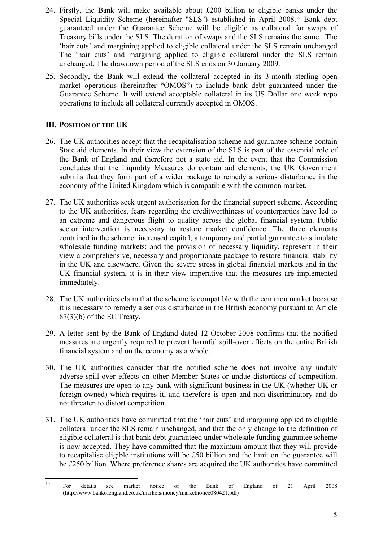- 24. Firstly, the Bank will make available about £200 billion to eligible banks under the Special Liquidity Scheme (hereinafter "SLS") established in April 2008.10 Bank debt guaranteed under the Guarantee Scheme will be eligible as collateral for swaps of Treasury bills under the SLS. The duration of swaps and the SLS remains the same. The 'hair cuts' and margining applied to eligible collateral under the SLS remain unchanged The 'hair cuts' and margining applied to eligible collateral under the SLS remain unchanged. The drawdown period of the SLS ends on 30 January 2009.
- 25. Secondly, the Bank will extend the collateral accepted in its 3-month sterling open market operations (hereinafter "OMOS") to include bank debt guaranteed under the Guarantee Scheme. It will extend acceptable collateral in its US Dollar one week repo operations to include all collateral currently accepted in OMOS.

## **III. POSITION OF THE UK**

- 26. The UK authorities accept that the recapitalisation scheme and guarantee scheme contain State aid elements. In their view the extension of the SLS is part of the essential role of the Bank of England and therefore not a state aid. In the event that the Commission concludes that the Liquidity Measures do contain aid elements, the UK Government submits that they form part of a wider package to remedy a serious disturbance in the economy of the United Kingdom which is compatible with the common market.
- 27. The UK authorities seek urgent authorisation for the financial support scheme. According to the UK authorities, fears regarding the creditworthiness of counterparties have led to an extreme and dangerous flight to quality across the global financial system. Public sector intervention is necessary to restore market confidence. The three elements contained in the scheme: increased capital; a temporary and partial guarantee to stimulate wholesale funding markets; and the provision of necessary liquidity, represent in their view a comprehensive, necessary and proportionate package to restore financial stability in the UK and elsewhere. Given the severe stress in global financial markets and in the UK financial system, it is in their view imperative that the measures are implemented immediately.
- 28. The UK authorities claim that the scheme is compatible with the common market because it is necessary to remedy a serious disturbance in the British economy pursuant to Article 87(3)(b) of the EC Treaty.
- 29. A letter sent by the Bank of England dated 12 October 2008 confirms that the notified measures are urgently required to prevent harmful spill-over effects on the entire British financial system and on the economy as a whole.
- 30. The UK authorities consider that the notified scheme does not involve any unduly adverse spill-over effects on other Member States or undue distortions of competition. The measures are open to any bank with significant business in the UK (whether UK or foreign-owned) which requires it, and therefore is open and non-discriminatory and do not threaten to distort competition.
- 31. The UK authorities have committed that the 'hair cuts' and margining applied to eligible collateral under the SLS remain unchanged, and that the only change to the definition of eligible collateral is that bank debt guaranteed under wholesale funding guarantee scheme is now accepted. They have committed that the maximum amount that they will provide to recapitalise eligible institutions will be £50 billion and the limit on the guarantee will be £250 billion. Where preference shares are acquired the UK authorities have committed

 $10$ <sup>10</sup> For details see market notice of the Bank of England of 21 April 2008 (http://www.bankofengland.co.uk/markets/money/marketnotice080421.pdf)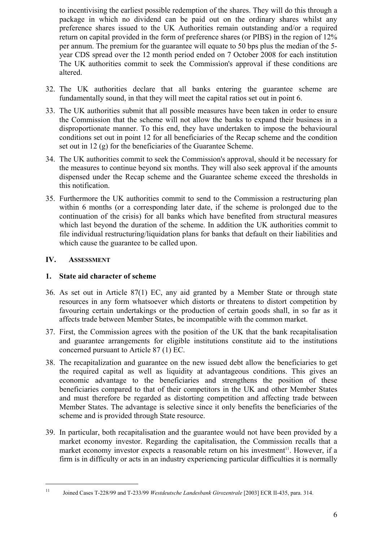to incentivising the earliest possible redemption of the shares. They will do this through a package in which no dividend can be paid out on the ordinary shares whilst any preference shares issued to the UK Authorities remain outstanding and/or a required return on capital provided in the form of preference shares (or PIBS) in the region of 12% per annum. The premium for the guarantee will equate to 50 bps plus the median of the 5 year CDS spread over the 12 month period ended on 7 October 2008 for each institution The UK authorities commit to seek the Commission's approval if these conditions are altered.

- 32. The UK authorities declare that all banks entering the guarantee scheme are fundamentally sound, in that they will meet the capital ratios set out in point 6.
- 33. The UK authorities submit that all possible measures have been taken in order to ensure the Commission that the scheme will not allow the banks to expand their business in a disproportionate manner. To this end, they have undertaken to impose the behavioural conditions set out in point 12 for all beneficiaries of the Recap scheme and the condition set out in 12 (g) for the beneficiaries of the Guarantee Scheme.
- 34. The UK authorities commit to seek the Commission's approval, should it be necessary for the measures to continue beyond six months. They will also seek approval if the amounts dispensed under the Recap scheme and the Guarantee scheme exceed the thresholds in this notification.
- 35. Furthermore the UK authorities commit to send to the Commission a restructuring plan within 6 months (or a corresponding later date, if the scheme is prolonged due to the continuation of the crisis) for all banks which have benefited from structural measures which last beyond the duration of the scheme. In addition the UK authorities commit to file individual restructuring/liquidation plans for banks that default on their liabilities and which cause the guarantee to be called upon.

#### **IV. ASSESSMENT**

#### **1. State aid character of scheme**

- 36. As set out in Article 87(1) EC, any aid granted by a Member State or through state resources in any form whatsoever which distorts or threatens to distort competition by favouring certain undertakings or the production of certain goods shall, in so far as it affects trade between Member States, be incompatible with the common market.
- 37. First, the Commission agrees with the position of the UK that the bank recapitalisation and guarantee arrangements for eligible institutions constitute aid to the institutions concerned pursuant to Article 87 (1) EC.
- 38. The recapitalization and guarantee on the new issued debt allow the beneficiaries to get the required capital as well as liquidity at advantageous conditions. This gives an economic advantage to the beneficiaries and strengthens the position of these beneficiaries compared to that of their competitors in the UK and other Member States and must therefore be regarded as distorting competition and affecting trade between Member States. The advantage is selective since it only benefits the beneficiaries of the scheme and is provided through State resource.
- 39. In particular, both recapitalisation and the guarantee would not have been provided by a market economy investor. Regarding the capitalisation, the Commission recalls that a market economy investor expects a reasonable return on his investment $11$ . However, if a firm is in difficulty or acts in an industry experiencing particular difficulties it is normally

 $11\,$ 11 Joined Cases T-228/99 and T-233/99 *Westdeutsche Landesbank Girozentrale* [2003] ECR II-435, para. 314.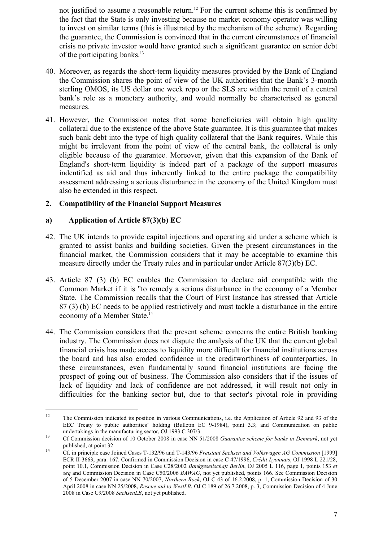not justified to assume a reasonable return.<sup>12</sup> For the current scheme this is confirmed by the fact that the State is only investing because no market economy operator was willing to invest on similar terms (this is illustrated by the mechanism of the scheme). Regarding the guarantee, the Commission is convinced that in the current circumstances of financial crisis no private investor would have granted such a significant guarantee on senior debt of the participating banks.<sup>13</sup>

- 40. Moreover, as regards the short-term liquidity measures provided by the Bank of England the Commission shares the point of view of the UK authorities that the Bank's 3-month sterling OMOS, its US dollar one week repo or the SLS are within the remit of a central bank's role as a monetary authority, and would normally be characterised as general measures.
- 41. However, the Commission notes that some beneficiaries will obtain high quality collateral due to the existence of the above State guarantee. It is this guarantee that makes such bank debt into the type of high quality collateral that the Bank requires. While this might be irrelevant from the point of view of the central bank, the collateral is only eligible because of the guarantee. Moreover, given that this expansion of the Bank of England's short-term liquidity is indeed part of a package of the support measures indentified as aid and thus inherently linked to the entire package the compatibility assessment addressing a serious disturbance in the economy of the United Kingdom must also be extended in this respect.

#### **2. Compatibility of the Financial Support Measures**

## **a) Application of Article 87(3)(b) EC**

1

- 42. The UK intends to provide capital injections and operating aid under a scheme which is granted to assist banks and building societies. Given the present circumstances in the financial market, the Commission considers that it may be acceptable to examine this measure directly under the Treaty rules and in particular under Article 87(3)(b) EC.
- 43. Article 87 (3) (b) EC enables the Commission to declare aid compatible with the Common Market if it is "to remedy a serious disturbance in the economy of a Member State. The Commission recalls that the Court of First Instance has stressed that Article 87 (3) (b) EC needs to be applied restrictively and must tackle a disturbance in the entire economy of a Member State.<sup>14</sup>
- 44. The Commission considers that the present scheme concerns the entire British banking industry. The Commission does not dispute the analysis of the UK that the current global financial crisis has made access to liquidity more difficult for financial institutions across the board and has also eroded confidence in the creditworthiness of counterparties. In these circumstances, even fundamentally sound financial institutions are facing the prospect of going out of business. The Commission also considers that if the issues of lack of liquidity and lack of confidence are not addressed, it will result not only in difficulties for the banking sector but, due to that sector's pivotal role in providing

<sup>&</sup>lt;sup>12</sup> The Commission indicated its position in various Communications, i.e. the Application of Article 92 and 93 of the EEC Treaty to public authorities' holding (Bulletin EC 9-1984), point 3.3; and Communication on public

undertakings in the manufacturing sector, OJ 1993 C 307/3. 13 Cf Commission decision of 10 October 2008 in case NN 51/2008 *Guarantee scheme for banks in Denmark*, not yet

published, at point 32. 14 Cf. in principle case Joined Cases T-132/96 and T-143/96 *Freistaat Sachsen and Volkswagen AG Commission* [1999] ECR II-3663, para. 167. Confirmed in Commission Decision in case C 47/1996, *Crédit Lyonnais*, OJ 1998 L 221/28, point 10.1, Commission Decision in Case C28/2002 *Bankgesellschaft Berlin*, OJ 2005 L 116, page 1, points 153 *et seq* and Commission Decision in Case C50/2006 *BAWAG*, not yet published, points 166. See Commission Decision of 5 December 2007 in case NN 70/2007, *Northern Rock*, OJ C 43 of 16.2.2008, p. 1, Commission Decision of 30 April 2008 in case NN 25/2008, *Rescue aid to WestLB*, OJ C 189 of 26.7.2008, p. 3, Commission Decision of 4 June 2008 in Case C9/2008 *SachsenLB*, not yet published.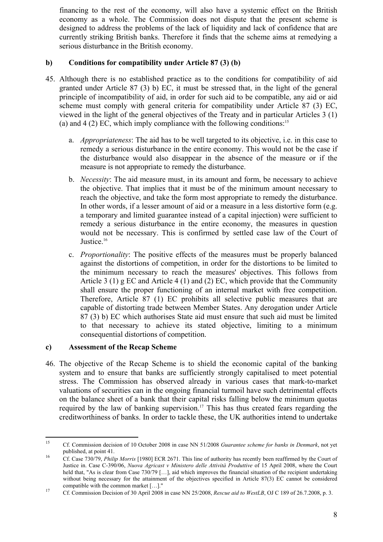financing to the rest of the economy, will also have a systemic effect on the British economy as a whole. The Commission does not dispute that the present scheme is designed to address the problems of the lack of liquidity and lack of confidence that are currently striking British banks. Therefore it finds that the scheme aims at remedying a serious disturbance in the British economy.

## **b) Conditions for compatibility under Article 87 (3) (b)**

- 45. Although there is no established practice as to the conditions for compatibility of aid granted under Article 87 (3) b) EC, it must be stressed that, in the light of the general principle of incompatibility of aid, in order for such aid to be compatible, any aid or aid scheme must comply with general criteria for compatibility under Article 87 (3) EC, viewed in the light of the general objectives of the Treaty and in particular Articles 3 (1) (a) and  $4(2)$  EC, which imply compliance with the following conditions:<sup>15</sup>
	- a. *Appropriateness*: The aid has to be well targeted to its objective, i.e. in this case to remedy a serious disturbance in the entire economy. This would not be the case if the disturbance would also disappear in the absence of the measure or if the measure is not appropriate to remedy the disturbance.
	- b. *Necessity*: The aid measure must, in its amount and form, be necessary to achieve the objective. That implies that it must be of the minimum amount necessary to reach the objective, and take the form most appropriate to remedy the disturbance. In other words, if a lesser amount of aid or a measure in a less distortive form (e.g. a temporary and limited guarantee instead of a capital injection) were sufficient to remedy a serious disturbance in the entire economy, the measures in question would not be necessary. This is confirmed by settled case law of the Court of Justice.<sup>16</sup>
	- c. *Proportionality*: The positive effects of the measures must be properly balanced against the distortions of competition, in order for the distortions to be limited to the minimum necessary to reach the measures' objectives. This follows from Article 3 (1) g EC and Article 4 (1) and (2) EC, which provide that the Community shall ensure the proper functioning of an internal market with free competition. Therefore, Article 87 (1) EC prohibits all selective public measures that are capable of distorting trade between Member States. Any derogation under Article 87 (3) b) EC which authorises State aid must ensure that such aid must be limited to that necessary to achieve its stated objective, limiting to a minimum consequential distortions of competition.

#### **c) Assessment of the Recap Scheme**

46. The objective of the Recap Scheme is to shield the economic capital of the banking system and to ensure that banks are sufficiently strongly capitalised to meet potential stress. The Commission has observed already in various cases that mark-to-market valuations of securities can in the ongoing financial turmoil have such detrimental effects on the balance sheet of a bank that their capital risks falling below the minimum quotas required by the law of banking supervision.<sup>17</sup> This has thus created fears regarding the creditworthiness of banks. In order to tackle these, the UK authorities intend to undertake

<sup>15</sup> 15 Cf. Commission decision of 10 October 2008 in case NN 51/2008 *Guarantee scheme for banks in Denmark*, not yet published, at point 41.<br><sup>16</sup> Cf. Case 730/79, *Philip Morris* [1980] ECR 2671. This line of authority has recently been reaffirmed by the Court of

Justice in. Case C-390/06, *Nuova Agricast v Ministero delle Attività Produttive* of 15 April 2008, where the Court held that, "As is clear from Case 730/79 [...], aid which improves the financial situation of the recipient undertaking without being necessary for the attainment of the objectives specified in Article 87(3) EC cannot be considered

compatible with the common market [...]."<br><sup>17</sup> Cf. Commission Decision of 30 April 2008 in case NN 25/2008, *Rescue aid to WestLB*, OJ C 189 of 26.7.2008, p. 3.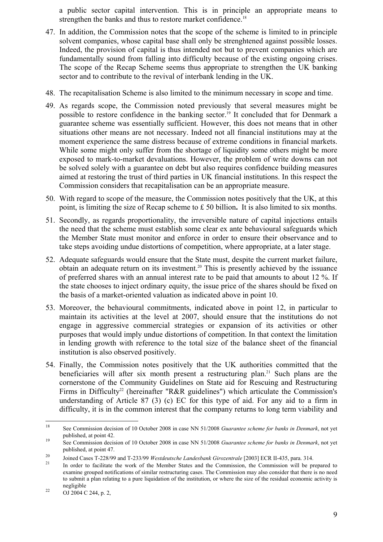a public sector capital intervention. This is in principle an appropriate means to strengthen the banks and thus to restore market confidence.<sup>18</sup>

- 47. In addition, the Commission notes that the scope of the scheme is limited to in principle solvent companies, whose capital base shall only be strenghtened against possible losses. Indeed, the provision of capital is thus intended not but to prevent companies which are fundamentally sound from falling into difficulty because of the existing ongoing crises. The scope of the Recap Scheme seems thus appropriate to strengthen the UK banking sector and to contribute to the revival of interbank lending in the UK.
- 48. The recapitalisation Scheme is also limited to the minimum necessary in scope and time.
- 49. As regards scope, the Commission noted previously that several measures might be possible to restore confidence in the banking sector.19 It concluded that for Denmark a guarantee scheme was essentially sufficient. However, this does not means that in other situations other means are not necessary. Indeed not all financial institutions may at the moment experience the same distress because of extreme conditions in financial markets. While some might only suffer from the shortage of liquidity some others might be more exposed to mark-to-market devaluations. However, the problem of write downs can not be solved solely with a guarantee on debt but also requires confidence building measures aimed at restoring the trust of third parties in UK financial institutions. In this respect the Commission considers that recapitalisation can be an appropriate measure.
- 50. With regard to scope of the measure, the Commission notes positively that the UK, at this point, is limiting the size of Recap scheme to £ 50 billion**.** It is also limited to six months.
- 51. Secondly, as regards proportionality, the irreversible nature of capital injections entails the need that the scheme must establish some clear ex ante behavioural safeguards which the Member State must monitor and enforce in order to ensure their observance and to take steps avoiding undue distortions of competition, where appropriate, at a later stage.
- 52. Adequate safeguards would ensure that the State must, despite the current market failure, obtain an adequate return on its investment.20 This is presently achieved by the issuance of preferred shares with an annual interest rate to be paid that amounts to about 12 %. If the state chooses to inject ordinary equity, the issue price of the shares should be fixed on the basis of a market-oriented valuation as indicated above in point 10.
- 53. Moreover, the behavioural commitments, indicated above in point 12, in particular to maintain its activities at the level at 2007, should ensure that the institutions do not engage in aggressive commercial strategies or expansion of its activities or other purposes that would imply undue distortions of competition. In that context the limitation in lending growth with reference to the total size of the balance sheet of the financial institution is also observed positively.
- 54. Finally, the Commission notes positively that the UK authorities committed that the beneficiaries will after six month present a restructuring plan.<sup>21</sup> Such plans are the cornerstone of the Community Guidelines on State aid for Rescuing and Restructuring Firms in Difficulty<sup>22</sup> (hereinafter "R&R guidelines") which articulate the Commission's understanding of Article 87 (3) (c) EC for this type of aid. For any aid to a firm in difficulty, it is in the common interest that the company returns to long term viability and

<sup>18</sup> 18 See Commission decision of 10 October 2008 in case NN 51/2008 *Guarantee scheme for banks in Denmark*, not yet published, at point 42.<br><sup>19</sup> See Commission decision of 10 October 2008 in case NN 51/2008 *Guarantee scheme for banks in Denmark*, not yet

published, at point 47.<br>
Joined Cases T-228/99 and T-233/99 Westdeutsche Landesbank Girozentrale [2003] ECR II-435, para. 314.<br>
In order to facilitate the work of the Member States and the Commission, the Commission will b

examine grouped notifications of similar restructuring cases. The Commission may also consider that there is no need to submit a plan relating to a pure liquidation of the institution, or where the size of the residual economic activity is negligible<br>
22 OJ 2004 C 244, p. 2,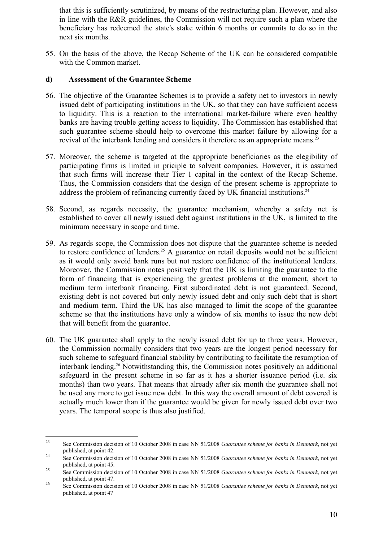that this is sufficiently scrutinized, by means of the restructuring plan. However, and also in line with the R&R guidelines, the Commission will not require such a plan where the beneficiary has redeemed the state's stake within 6 months or commits to do so in the next six months.

55. On the basis of the above, the Recap Scheme of the UK can be considered compatible with the Common market.

#### **d) Assessment of the Guarantee Scheme**

- 56. The objective of the Guarantee Schemes is to provide a safety net to investors in newly issued debt of participating institutions in the UK, so that they can have sufficient access to liquidity. This is a reaction to the international market-failure where even healthy banks are having trouble getting access to liquidity. The Commission has established that such guarantee scheme should help to overcome this market failure by allowing for a revival of the interbank lending and considers it therefore as an appropriate means.<sup>23</sup>
- 57. Moreover, the scheme is targeted at the appropriate beneficiaries as the elegibility of participating firms is limited in priciple to solvent companies. However, it is assumed that such firms will increase their Tier 1 capital in the context of the Recap Scheme. Thus, the Commission considers that the design of the present scheme is appropriate to address the problem of refinancing currently faced by UK financial institutions.<sup>24</sup>
- 58. Second, as regards necessity, the guarantee mechanism, whereby a safety net is established to cover all newly issued debt against institutions in the UK, is limited to the minimum necessary in scope and time.
- 59. As regards scope, the Commission does not dispute that the guarantee scheme is needed to restore confidence of lenders.<sup>25</sup> A guarantee on retail deposits would not be sufficient as it would only avoid bank runs but not restore confidence of the institutional lenders. Moreover, the Commission notes positively that the UK is limiting the guarantee to the form of financing that is experiencing the greatest problems at the moment, short to medium term interbank financing. First subordinated debt is not guaranteed. Second, existing debt is not covered but only newly issued debt and only such debt that is short and medium term. Third the UK has also managed to limit the scope of the guarantee scheme so that the institutions have only a window of six months to issue the new debt that will benefit from the guarantee.
- 60. The UK guarantee shall apply to the newly issued debt for up to three years. However, the Commission normally considers that two years are the longest period necessary for such scheme to safeguard financial stability by contributing to facilitate the resumption of interbank lending.26 Notwithstanding this, the Commission notes positively an additional safeguard in the present scheme in so far as it has a shorter issuance period (i.e. six months) than two years. That means that already after six month the guarantee shall not be used any more to get issue new debt. In this way the overall amount of debt covered is actually much lower than if the guarantee would be given for newly issued debt over two years. The temporal scope is thus also justified.

 $23$ 23 See Commission decision of 10 October 2008 in case NN 51/2008 *Guarantee scheme for banks in Denmark*, not yet published, at point 42. 24 See Commission decision of 10 October 2008 in case NN 51/2008 *Guarantee scheme for banks in Denmark*, not yet

published, at point 45. 25 See Commission decision of 10 October 2008 in case NN 51/2008 *Guarantee scheme for banks in Denmark*, not yet

published, at point 47. 26 See Commission decision of 10 October 2008 in case NN 51/2008 *Guarantee scheme for banks in Denmark*, not yet

published, at point 47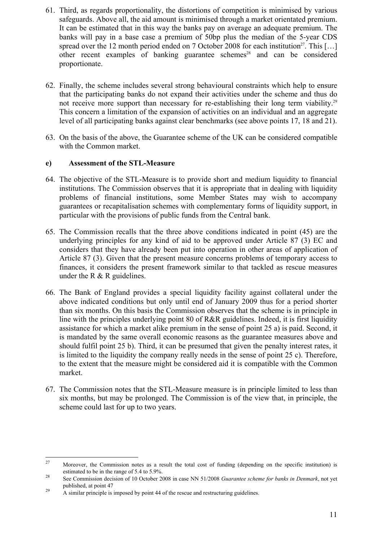- 61. Third, as regards proportionality, the distortions of competition is minimised by various safeguards. Above all, the aid amount is minimised through a market orientated premium. It can be estimated that in this way the banks pay on average an adequate premium. The banks will pay in a base case a premium of 50bp plus the median of the 5-year CDS spread over the 12 month period ended on 7 October 2008 for each institution<sup>27</sup>. This [...] other recent examples of banking guarantee schemes<sup>28</sup> and can be considered proportionate.
- 62. Finally, the scheme includes several strong behavioural constraints which help to ensure that the participating banks do not expand their activities under the scheme and thus do not receive more support than necessary for re-establishing their long term viability.<sup>29</sup> This concern a limitation of the expansion of activities on an individual and an aggregate level of all participating banks against clear benchmarks (see above points 17, 18 and 21).
- 63. On the basis of the above, the Guarantee scheme of the UK can be considered compatible with the Common market.

#### **e) Assessment of the STL-Measure**

- 64. The objective of the STL-Measure is to provide short and medium liquidity to financial institutions. The Commission observes that it is appropriate that in dealing with liquidity problems of financial institutions, some Member States may wish to accompany guarantees or recapitalisation schemes with complementary forms of liquidity support, in particular with the provisions of public funds from the Central bank.
- 65. The Commission recalls that the three above conditions indicated in point (45) are the underlying principles for any kind of aid to be approved under Article 87 (3) EC and considers that they have already been put into operation in other areas of application of Article 87 (3). Given that the present measure concerns problems of temporary access to finances, it considers the present framework similar to that tackled as rescue measures under the R  $&$  R guidelines.
- 66. The Bank of England provides a special liquidity facility against collateral under the above indicated conditions but only until end of January 2009 thus for a period shorter than six months. On this basis the Commission observes that the scheme is in principle in line with the principles underlying point 80 of R&R guidelines. Indeed, it is first liquidity assistance for which a market alike premium in the sense of point 25 a) is paid. Second, it is mandated by the same overall economic reasons as the guarantee measures above and should fulfil point 25 b). Third, it can be presumed that given the penalty interest rates, it is limited to the liquidity the company really needs in the sense of point 25 c). Therefore, to the extent that the measure might be considered aid it is compatible with the Common market.
- 67. The Commission notes that the STL-Measure measure is in principle limited to less than six months, but may be prolonged. The Commission is of the view that, in principle, the scheme could last for up to two years.

<sup>27</sup> 27 Moreover, the Commission notes as a result the total cost of funding (depending on the specific institution) is estimated to be in the range of 5.4 to 5.9%.<br><sup>28</sup> See Commission decision of 10 October 2008 in case NN 51/2008 *Guarantee scheme for banks in Denmark*, not yet

published, at point 47<br>
<sup>29</sup> A similar principle is imposed by point 44 of the rescue and restructuring guidelines.